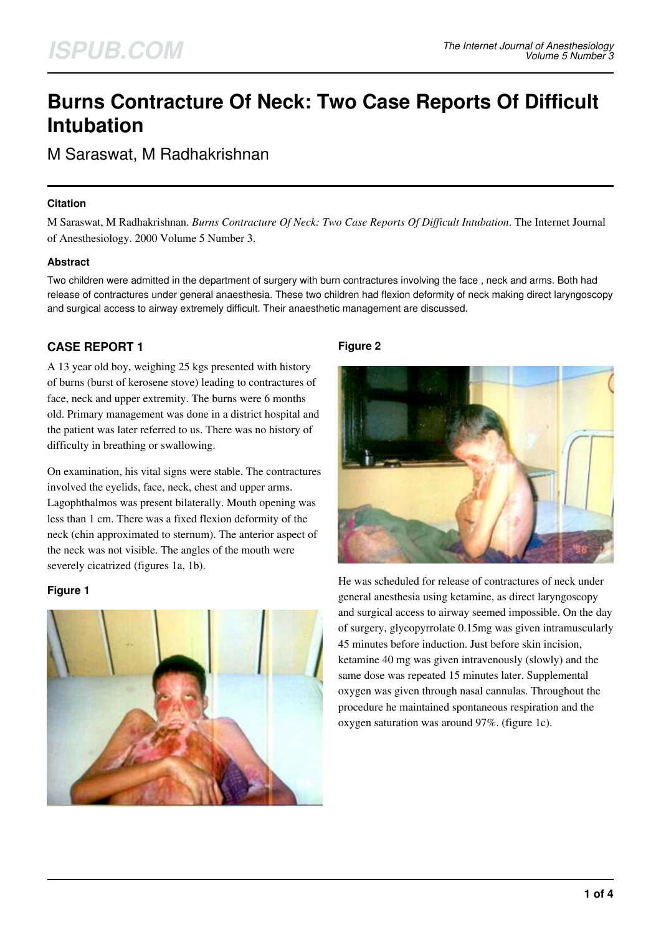# **Burns Contracture Of Neck: Two Case Reports Of Difficult Intubation**

M Saraswat, M Radhakrishnan

### **Citation**

M Saraswat, M Radhakrishnan. *Burns Contracture Of Neck: Two Case Reports Of Difficult Intubation*. The Internet Journal of Anesthesiology. 2000 Volume 5 Number 3.

## **Abstract**

Two children were admitted in the department of surgery with burn contractures involving the face , neck and arms. Both had release of contractures under general anaesthesia. These two children had flexion deformity of neck making direct laryngoscopy and surgical access to airway extremely difficult. Their anaesthetic management are discussed.

# **CASE REPORT 1**

A 13 year old boy, weighing 25 kgs presented with history of burns (burst of kerosene stove) leading to contractures of face, neck and upper extremity. The burns were 6 months old. Primary management was done in a district hospital and the patient was later referred to us. There was no history of difficulty in breathing or swallowing.

On examination, his vital signs were stable. The contractures involved the eyelids, face, neck, chest and upper arms. Lagophthalmos was present bilaterally. Mouth opening was less than 1 cm. There was a fixed flexion deformity of the neck (chin approximated to sternum). The anterior aspect of the neck was not visible. The angles of the mouth were severely cicatrized (figures 1a, 1b).

## **Figure 1**



## **Figure 2**



He was scheduled for release of contractures of neck under general anesthesia using ketamine, as direct laryngoscopy and surgical access to airway seemed impossible. On the day of surgery, glycopyrrolate 0.15mg was given intramuscularly 45 minutes before induction. Just before skin incision, ketamine 40 mg was given intravenously (slowly) and the same dose was repeated 15 minutes later. Supplemental oxygen was given through nasal cannulas. Throughout the procedure he maintained spontaneous respiration and the oxygen saturation was around 97%. (figure 1c).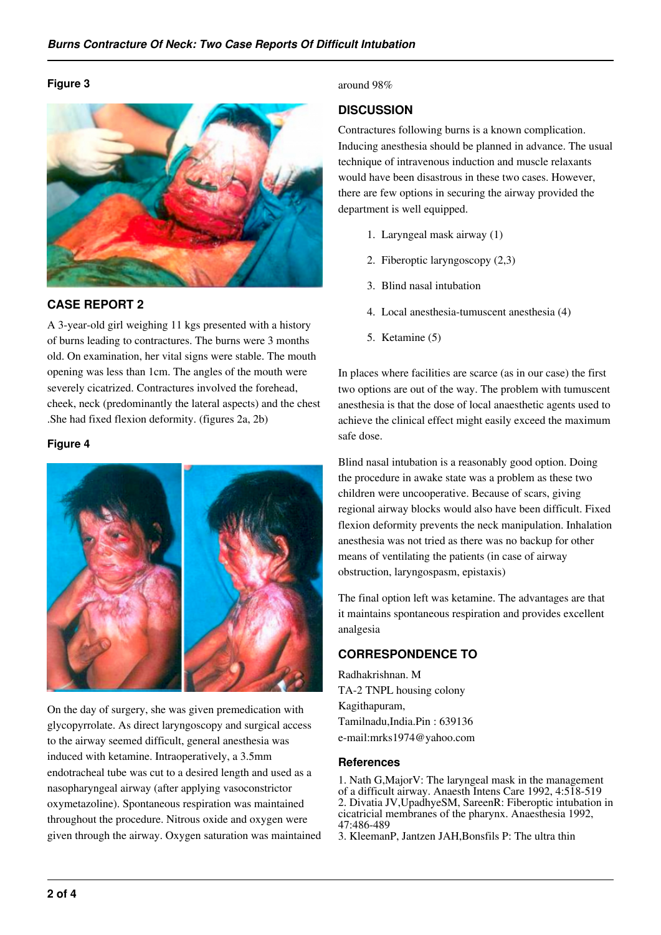#### **Figure 3**



# **CASE REPORT 2**

A 3-year-old girl weighing 11 kgs presented with a history of burns leading to contractures. The burns were 3 months old. On examination, her vital signs were stable. The mouth opening was less than 1cm. The angles of the mouth were severely cicatrized. Contractures involved the forehead, cheek, neck (predominantly the lateral aspects) and the chest .She had fixed flexion deformity. (figures 2a, 2b)

#### **Figure 4**



On the day of surgery, she was given premedication with glycopyrrolate. As direct laryngoscopy and surgical access to the airway seemed difficult, general anesthesia was induced with ketamine. Intraoperatively, a 3.5mm endotracheal tube was cut to a desired length and used as a nasopharyngeal airway (after applying vasoconstrictor oxymetazoline). Spontaneous respiration was maintained throughout the procedure. Nitrous oxide and oxygen were given through the airway. Oxygen saturation was maintained around 98%

# **DISCUSSION**

Contractures following burns is a known complication. Inducing anesthesia should be planned in advance. The usual technique of intravenous induction and muscle relaxants would have been disastrous in these two cases. However, there are few options in securing the airway provided the department is well equipped.

- 1. Laryngeal mask airway (1)
- 2. Fiberoptic laryngoscopy (2,3)
- 3. Blind nasal intubation
- 4. Local anesthesia-tumuscent anesthesia (4)
- 5. Ketamine (5)

In places where facilities are scarce (as in our case) the first two options are out of the way. The problem with tumuscent anesthesia is that the dose of local anaesthetic agents used to achieve the clinical effect might easily exceed the maximum safe dose.

Blind nasal intubation is a reasonably good option. Doing the procedure in awake state was a problem as these two children were uncooperative. Because of scars, giving regional airway blocks would also have been difficult. Fixed flexion deformity prevents the neck manipulation. Inhalation anesthesia was not tried as there was no backup for other means of ventilating the patients (in case of airway obstruction, laryngospasm, epistaxis)

The final option left was ketamine. The advantages are that it maintains spontaneous respiration and provides excellent analgesia

# **CORRESPONDENCE TO**

Radhakrishnan. M TA-2 TNPL housing colony Kagithapuram, Tamilnadu,India.Pin : 639136 e-mail:mrks1974@yahoo.com

#### **References**

1. Nath G,MajorV: The laryngeal mask in the management of a difficult airway. Anaesth Intens Care 1992, 4:518-519 2. Divatia JV,UpadhyeSM, SareenR: Fiberoptic intubation in cicatricial membranes of the pharynx. Anaesthesia 1992, 47:486-489

3. KleemanP, Jantzen JAH,Bonsfils P: The ultra thin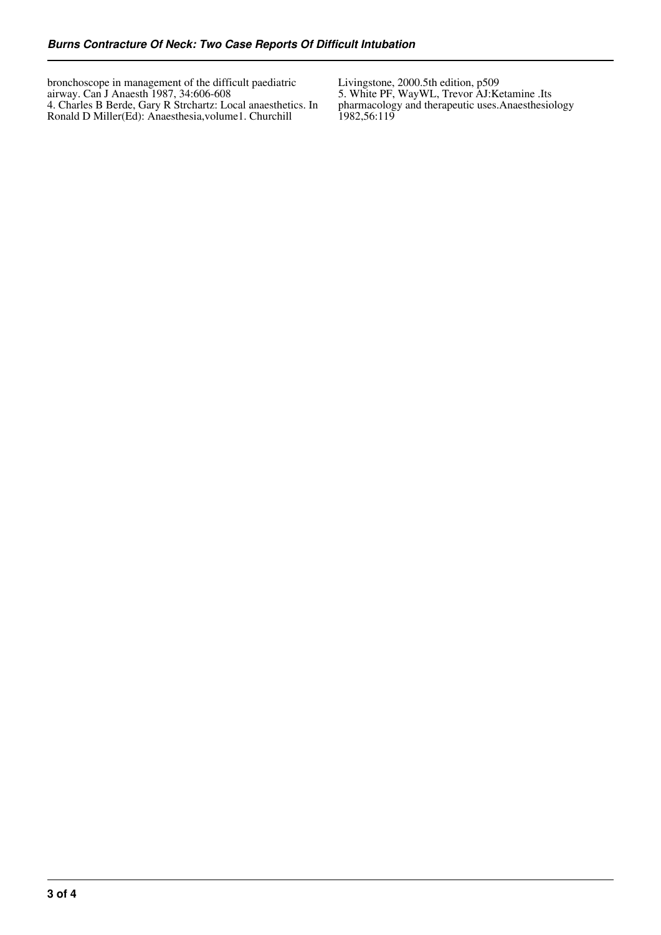bronchoscope in management of the difficult paediatric airway. Can J Anaesth 1987, 34:606-608 4. Charles B Berde, Gary R Strchartz: Local anaesthetics. In Ronald D Miller(Ed): Anaesthesia,volume1. Churchill

Livingstone, 2000.5th edition, p509

5. White PF, WayWL, Trevor AJ:Ketamine .Its pharmacology and therapeutic uses.Anaesthesiology 1982,56:119